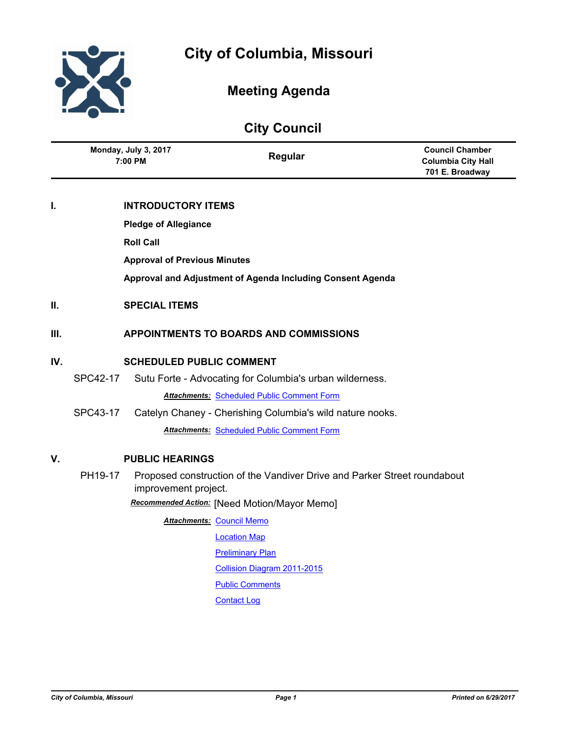

# **Meeting Agenda**

# **City Council**

|     | Monday, July 3, 2017<br>7:00 PM              |                                     | Regular                                                                  | <b>Council Chamber</b><br><b>Columbia City Hall</b><br>701 E. Broadway |
|-----|----------------------------------------------|-------------------------------------|--------------------------------------------------------------------------|------------------------------------------------------------------------|
| Т.  |                                              | <b>INTRODUCTORY ITEMS</b>           |                                                                          |                                                                        |
|     | <b>Pledge of Allegiance</b>                  |                                     |                                                                          |                                                                        |
|     |                                              | <b>Roll Call</b>                    |                                                                          |                                                                        |
|     |                                              | <b>Approval of Previous Minutes</b> |                                                                          |                                                                        |
|     |                                              |                                     | Approval and Adjustment of Agenda Including Consent Agenda               |                                                                        |
| Н.  |                                              | <b>SPECIAL ITEMS</b>                |                                                                          |                                                                        |
| Ш.  |                                              |                                     | <b>APPOINTMENTS TO BOARDS AND COMMISSIONS</b>                            |                                                                        |
| IV. | <b>SCHEDULED PUBLIC COMMENT</b>              |                                     |                                                                          |                                                                        |
|     | SPC42-17                                     |                                     | Sutu Forte - Advocating for Columbia's urban wilderness.                 |                                                                        |
|     |                                              |                                     | <b>Attachments: Scheduled Public Comment Form</b>                        |                                                                        |
|     | SPC43-17                                     |                                     | Catelyn Chaney - Cherishing Columbia's wild nature nooks.                |                                                                        |
|     |                                              |                                     | <b>Attachments: Scheduled Public Comment Form</b>                        |                                                                        |
| V.  | <b>PUBLIC HEARINGS</b>                       |                                     |                                                                          |                                                                        |
|     | PH19-17                                      | improvement project.                | Proposed construction of the Vandiver Drive and Parker Street roundabout |                                                                        |
|     | Recommended Action: [Need Motion/Mayor Memo] |                                     |                                                                          |                                                                        |
|     |                                              |                                     | <b>Attachments: Council Memo</b>                                         |                                                                        |
|     |                                              |                                     | <b>Location Map</b>                                                      |                                                                        |
|     |                                              |                                     | <b>Preliminary Plan</b>                                                  |                                                                        |
|     |                                              |                                     | <b>Collision Diagram 2011-2015</b>                                       |                                                                        |
|     |                                              |                                     | <b>Public Comments</b>                                                   |                                                                        |
|     |                                              |                                     | <b>Contact Log</b>                                                       |                                                                        |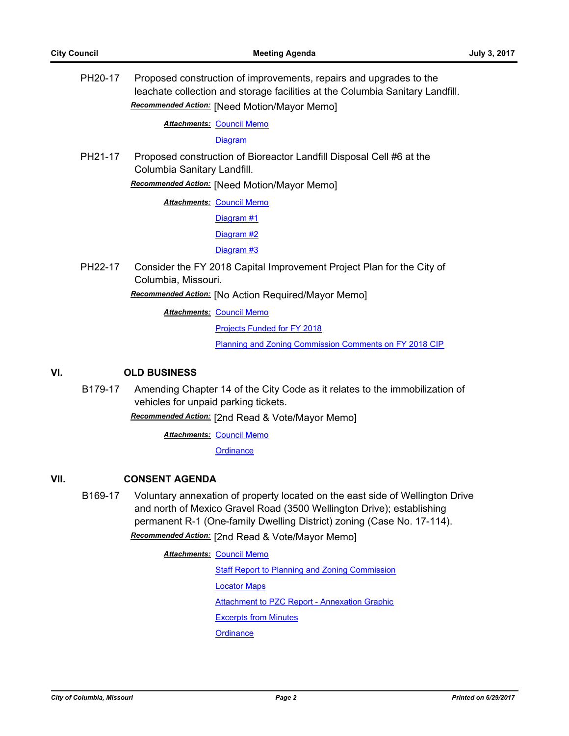PH20-17 Proposed construction of improvements, repairs and upgrades to the leachate collection and storage facilities at the Columbia Sanitary Landfill. *Recommended Action:* [Need Motion/Mayor Memo]

**Attachments: [Council Memo](http://gocolumbiamo.legistar.com/gateway.aspx?M=F&ID=f03637ed-ce24-4543-aa83-19ae01299ecb.docx)** 

**[Diagram](http://gocolumbiamo.legistar.com/gateway.aspx?M=F&ID=a9231ef9-5040-451b-9b37-cea280948c75.pdf)** 

PH21-17 Proposed construction of Bioreactor Landfill Disposal Cell #6 at the Columbia Sanitary Landfill.

*Recommended Action:* [Need Motion/Mayor Memo]

**Attachments: [Council Memo](http://gocolumbiamo.legistar.com/gateway.aspx?M=F&ID=caaf442c-6eee-471d-93dd-266b00d7cd80.docx)** 

[Diagram #1](http://gocolumbiamo.legistar.com/gateway.aspx?M=F&ID=5a7da588-5581-4900-af46-7509bdf03f1f.pdf)

[Diagram #2](http://gocolumbiamo.legistar.com/gateway.aspx?M=F&ID=1bc2f640-9f3c-4b98-a369-a7a634fbdd1b.pdf)

[Diagram #3](http://gocolumbiamo.legistar.com/gateway.aspx?M=F&ID=36e26da5-9728-4faa-9d15-8a96f22168fe.pdf)

PH22-17 Consider the FY 2018 Capital Improvement Project Plan for the City of Columbia, Missouri.

*Recommended Action:* [No Action Required/Mayor Memo]

**Attachments: [Council Memo](http://gocolumbiamo.legistar.com/gateway.aspx?M=F&ID=02332fc8-cf2d-48eb-b76b-8cccf3aee25d.docx)** 

[Projects Funded for FY 2018](http://gocolumbiamo.legistar.com/gateway.aspx?M=F&ID=ad0e2194-526d-4516-9878-eeea4084456c.pdf)

[Planning and Zoning Commission Comments on FY 2018 CIP](http://gocolumbiamo.legistar.com/gateway.aspx?M=F&ID=a049f66a-4228-467f-957c-483584b5ade6.pdf)

## **VI. OLD BUSINESS**

B179-17 Amending Chapter 14 of the City Code as it relates to the immobilization of vehicles for unpaid parking tickets.

*Recommended Action:* [2nd Read & Vote/Mayor Memo]

**Attachments: [Council Memo](http://gocolumbiamo.legistar.com/gateway.aspx?M=F&ID=e8916d52-f23d-4405-8c7c-96ceb8a2358a.docx)** 

**[Ordinance](http://gocolumbiamo.legistar.com/gateway.aspx?M=F&ID=b928cdbd-4e05-4ebc-ba5f-b25b80fb2293.doc)** 

## **VII. CONSENT AGENDA**

B169-17 Voluntary annexation of property located on the east side of Wellington Drive and north of Mexico Gravel Road (3500 Wellington Drive); establishing permanent R-1 (One-family Dwelling District) zoning (Case No. 17-114).

*Recommended Action:* [2nd Read & Vote/Mayor Memo]

**Attachments: [Council Memo](http://gocolumbiamo.legistar.com/gateway.aspx?M=F&ID=690b21e2-74cd-407c-b4a4-0899fb8806d4.docx)** [Staff Report to Planning and Zoning Commission](http://gocolumbiamo.legistar.com/gateway.aspx?M=F&ID=a73bb496-14a5-47d6-96c7-8a9f5ebc0061.docx) [Locator Maps](http://gocolumbiamo.legistar.com/gateway.aspx?M=F&ID=fc7910e0-59ea-4404-9351-79f6b546a6c1.pdf) [Attachment to PZC Report - Annexation Graphic](http://gocolumbiamo.legistar.com/gateway.aspx?M=F&ID=d7bde5c6-daa0-41e4-9951-b7d2df5b37ad.pdf) [Excerpts from Minutes](http://gocolumbiamo.legistar.com/gateway.aspx?M=F&ID=eb36d120-8aeb-400c-9677-f91dc51e6be9.pdf) **[Ordinance](http://gocolumbiamo.legistar.com/gateway.aspx?M=F&ID=bc35e420-f045-40d4-a7da-caced6a987a6.doc)**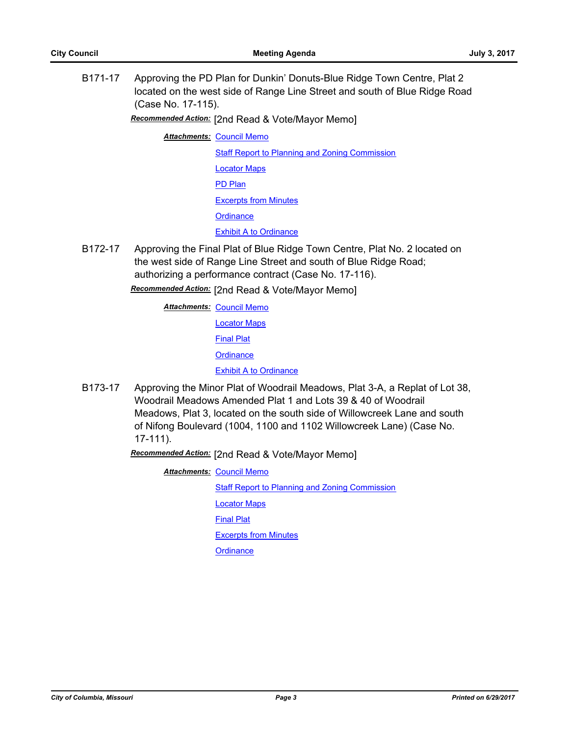B171-17 Approving the PD Plan for Dunkin' Donuts-Blue Ridge Town Centre, Plat 2 located on the west side of Range Line Street and south of Blue Ridge Road (Case No. 17-115).

*Recommended Action:* [2nd Read & Vote/Mayor Memo]

**Attachments: [Council Memo](http://gocolumbiamo.legistar.com/gateway.aspx?M=F&ID=eece016d-58b6-4658-957a-8dcd46cb7b23.docx)** 

[Staff Report to Planning and Zoning Commission](http://gocolumbiamo.legistar.com/gateway.aspx?M=F&ID=0a019cfc-3e9a-4738-acc7-9108f9c5c449.docx)

[Locator Maps](http://gocolumbiamo.legistar.com/gateway.aspx?M=F&ID=d899d9a8-db37-4ae1-ace9-7ce0d8ee1be9.pdf)

[PD Plan](http://gocolumbiamo.legistar.com/gateway.aspx?M=F&ID=a4d866c2-cdc3-4044-bcfe-fd8baede1941.pdf)

[Excerpts from Minutes](http://gocolumbiamo.legistar.com/gateway.aspx?M=F&ID=c62c4209-f050-448a-97a2-317da6559f48.pdf)

**[Ordinance](http://gocolumbiamo.legistar.com/gateway.aspx?M=F&ID=b5f09694-abb2-4f3d-bb89-61464818bdbf.doc)** 

[Exhibit A to Ordinance](http://gocolumbiamo.legistar.com/gateway.aspx?M=F&ID=a8327d5f-6d40-442b-b378-9c4be223561e.pdf)

B172-17 Approving the Final Plat of Blue Ridge Town Centre, Plat No. 2 located on the west side of Range Line Street and south of Blue Ridge Road; authorizing a performance contract (Case No. 17-116).

*Recommended Action:* [2nd Read & Vote/Mayor Memo]

**Attachments: [Council Memo](http://gocolumbiamo.legistar.com/gateway.aspx?M=F&ID=b4454be3-4ba8-4a06-a79a-b504812a9cf0.docx)** 

[Locator Maps](http://gocolumbiamo.legistar.com/gateway.aspx?M=F&ID=477840b8-5e79-4e27-895f-52a97a7da552.pdf)

[Final Plat](http://gocolumbiamo.legistar.com/gateway.aspx?M=F&ID=95675072-7d4c-450c-a3cb-95b8879720d6.pdf)

**[Ordinance](http://gocolumbiamo.legistar.com/gateway.aspx?M=F&ID=f66e50b9-6ff8-4b29-ac3f-1b3e550a0584.doc)** 

[Exhibit A to Ordinance](http://gocolumbiamo.legistar.com/gateway.aspx?M=F&ID=433b2e5d-fbe0-4f31-91ca-4fd083ac7b96.pdf)

B173-17 Approving the Minor Plat of Woodrail Meadows, Plat 3-A, a Replat of Lot 38, Woodrail Meadows Amended Plat 1 and Lots 39 & 40 of Woodrail Meadows, Plat 3, located on the south side of Willowcreek Lane and south of Nifong Boulevard (1004, 1100 and 1102 Willowcreek Lane) (Case No. 17-111).

*Recommended Action:* [2nd Read & Vote/Mayor Memo]

**Attachments: [Council Memo](http://gocolumbiamo.legistar.com/gateway.aspx?M=F&ID=41ee4492-9d3e-43cf-a928-57b675657460.docx)** [Staff Report to Planning and Zoning Commission](http://gocolumbiamo.legistar.com/gateway.aspx?M=F&ID=2f486fa8-57c0-4bb5-8583-c6d791d61a6b.docx)

[Locator Maps](http://gocolumbiamo.legistar.com/gateway.aspx?M=F&ID=bc7fabd0-7cce-42f3-bbac-f4a805086170.pdf)

[Final Plat](http://gocolumbiamo.legistar.com/gateway.aspx?M=F&ID=d81bbd99-8c45-42cd-af08-8ee4c310501b.pdf)

[Excerpts from Minutes](http://gocolumbiamo.legistar.com/gateway.aspx?M=F&ID=2d7a7723-28c9-4add-9a6c-2f4fbf01627b.pdf)

**[Ordinance](http://gocolumbiamo.legistar.com/gateway.aspx?M=F&ID=835d0337-05e2-45ea-9d82-45e1b75d6820.doc)**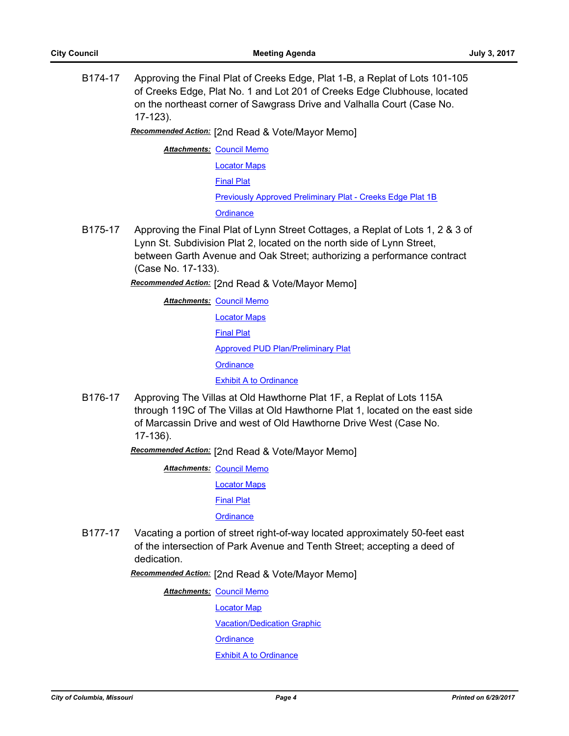B174-17 Approving the Final Plat of Creeks Edge, Plat 1-B, a Replat of Lots 101-105 of Creeks Edge, Plat No. 1 and Lot 201 of Creeks Edge Clubhouse, located on the northeast corner of Sawgrass Drive and Valhalla Court (Case No. 17-123).

*Recommended Action:* [2nd Read & Vote/Mayor Memo]

**Attachments: [Council Memo](http://gocolumbiamo.legistar.com/gateway.aspx?M=F&ID=4542f850-74c8-44fb-b9c9-b8914bc80cd0.docx)** 

[Locator Maps](http://gocolumbiamo.legistar.com/gateway.aspx?M=F&ID=566d266b-0eb7-480f-ae1a-3943248f258a.pdf)

[Final Plat](http://gocolumbiamo.legistar.com/gateway.aspx?M=F&ID=bb6d21aa-a5da-4337-bc8a-fd694d6b11e9.pdf)

[Previously Approved Preliminary Plat - Creeks Edge Plat 1B](http://gocolumbiamo.legistar.com/gateway.aspx?M=F&ID=58a576d0-bc53-4959-8eae-efcdce44484e.pdf)

**[Ordinance](http://gocolumbiamo.legistar.com/gateway.aspx?M=F&ID=f6d0b7a0-92d2-4041-ac26-7283785d735a.doc)** 

B175-17 Approving the Final Plat of Lynn Street Cottages, a Replat of Lots 1, 2 & 3 of Lynn St. Subdivision Plat 2, located on the north side of Lynn Street, between Garth Avenue and Oak Street; authorizing a performance contract (Case No. 17-133).

*Recommended Action:* [2nd Read & Vote/Mayor Memo]

**Attachments: [Council Memo](http://gocolumbiamo.legistar.com/gateway.aspx?M=F&ID=2d211a82-f49c-4058-b3eb-057aea0b710e.docx)** [Locator Maps](http://gocolumbiamo.legistar.com/gateway.aspx?M=F&ID=2b8568ec-10f7-407b-932e-5a2b1130577e.pdf) [Final Plat](http://gocolumbiamo.legistar.com/gateway.aspx?M=F&ID=b5f7cff7-be5d-4d00-bf9e-c10339ac5d6f.pdf) [Approved PUD Plan/Preliminary Plat](http://gocolumbiamo.legistar.com/gateway.aspx?M=F&ID=a8f7eb65-f7e1-4645-9889-9f27fd2b6051.pdf) **[Ordinance](http://gocolumbiamo.legistar.com/gateway.aspx?M=F&ID=ec9dc56e-1263-4933-8467-a06e44b96d23.doc)** [Exhibit A to Ordinance](http://gocolumbiamo.legistar.com/gateway.aspx?M=F&ID=7b160096-cb6f-48be-9389-a47ff3a59575.pdf)

B176-17 Approving The Villas at Old Hawthorne Plat 1F, a Replat of Lots 115A through 119C of The Villas at Old Hawthorne Plat 1, located on the east side of Marcassin Drive and west of Old Hawthorne Drive West (Case No. 17-136).

*Recommended Action:* [2nd Read & Vote/Mayor Memo]

**Attachments: [Council Memo](http://gocolumbiamo.legistar.com/gateway.aspx?M=F&ID=645631ff-e2f4-4144-97e1-3924b2ef5657.docx)** 

[Locator Maps](http://gocolumbiamo.legistar.com/gateway.aspx?M=F&ID=4e83be20-e0c0-4db9-843d-809a6f5a1c93.pdf)

[Final Plat](http://gocolumbiamo.legistar.com/gateway.aspx?M=F&ID=a51f5316-e101-4f80-a13b-20227ff1ada7.pdf)

**[Ordinance](http://gocolumbiamo.legistar.com/gateway.aspx?M=F&ID=7f66d3f0-4aec-466a-bc44-991edf7e7a79.doc)** 

B177-17 Vacating a portion of street right-of-way located approximately 50-feet east of the intersection of Park Avenue and Tenth Street; accepting a deed of dedication.

*Recommended Action:* [2nd Read & Vote/Mayor Memo]

**Attachments: [Council Memo](http://gocolumbiamo.legistar.com/gateway.aspx?M=F&ID=3bb17d4b-334e-47c8-97b2-d228cca6a436.docx)** 

[Locator Map](http://gocolumbiamo.legistar.com/gateway.aspx?M=F&ID=283fff47-24f6-4609-9cb2-87b1085b095c.docx)

[Vacation/Dedication Graphic](http://gocolumbiamo.legistar.com/gateway.aspx?M=F&ID=26c636b5-9dcf-4420-b329-75649bc7df5e.pdf)

**[Ordinance](http://gocolumbiamo.legistar.com/gateway.aspx?M=F&ID=c6005676-38df-447d-b07a-ba4383c928e1.doc)** 

[Exhibit A to Ordinance](http://gocolumbiamo.legistar.com/gateway.aspx?M=F&ID=5637c0f3-43e5-4266-ae0b-02253215118a.pdf)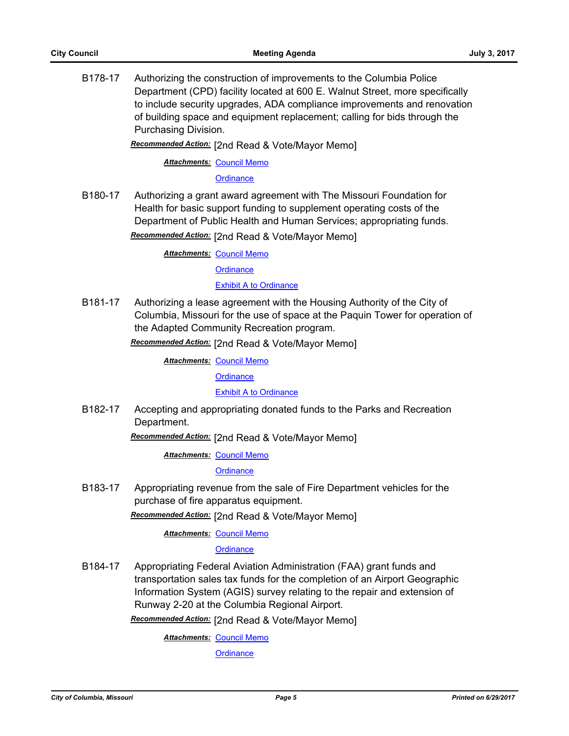B178-17 Authorizing the construction of improvements to the Columbia Police Department (CPD) facility located at 600 E. Walnut Street, more specifically to include security upgrades, ADA compliance improvements and renovation of building space and equipment replacement; calling for bids through the Purchasing Division.

*Recommended Action:* [2nd Read & Vote/Mayor Memo]

**Attachments: [Council Memo](http://gocolumbiamo.legistar.com/gateway.aspx?M=F&ID=dd12ee8c-76c5-4976-8dd3-8cc59eeb9e1c.docx)** 

**[Ordinance](http://gocolumbiamo.legistar.com/gateway.aspx?M=F&ID=5a42cc7b-aeae-4b19-b37a-89b5597c8f9e.doc)** 

B180-17 Authorizing a grant award agreement with The Missouri Foundation for Health for basic support funding to supplement operating costs of the Department of Public Health and Human Services; appropriating funds. *Recommended Action:* [2nd Read & Vote/Mayor Memo]

**Attachments: [Council Memo](http://gocolumbiamo.legistar.com/gateway.aspx?M=F&ID=3b9a47bd-0f22-4e1f-8ee7-35f699749513.docx)** 

**[Ordinance](http://gocolumbiamo.legistar.com/gateway.aspx?M=F&ID=f6fc45f8-1284-401b-acc8-f6c6e7a317ac.doc)** 

[Exhibit A to Ordinance](http://gocolumbiamo.legistar.com/gateway.aspx?M=F&ID=b3011bbe-e9a8-4ab8-91ee-b298dc47086a.pdf)

B181-17 Authorizing a lease agreement with the Housing Authority of the City of Columbia, Missouri for the use of space at the Paquin Tower for operation of the Adapted Community Recreation program.

*Recommended Action:* [2nd Read & Vote/Mayor Memo]

**Attachments: [Council Memo](http://gocolumbiamo.legistar.com/gateway.aspx?M=F&ID=f2b9b718-6487-4289-aef8-6d166d1732dc.docx)** 

**[Ordinance](http://gocolumbiamo.legistar.com/gateway.aspx?M=F&ID=3a6aa2c6-d09b-421a-8de1-9b697a6b721c.doc)** 

[Exhibit A to Ordinance](http://gocolumbiamo.legistar.com/gateway.aspx?M=F&ID=5a079537-868d-440b-b505-e5291f72480a.pdf)

B182-17 Accepting and appropriating donated funds to the Parks and Recreation Department.

*Recommended Action:* [2nd Read & Vote/Mayor Memo]

**Attachments: [Council Memo](http://gocolumbiamo.legistar.com/gateway.aspx?M=F&ID=13277af3-9777-4284-a1d5-b063c553ef50.docx)** 

**[Ordinance](http://gocolumbiamo.legistar.com/gateway.aspx?M=F&ID=78bf0ff9-e626-429d-9796-a5ca45ecc433.doc)** 

B183-17 Appropriating revenue from the sale of Fire Department vehicles for the purchase of fire apparatus equipment.

*Recommended Action:* [2nd Read & Vote/Mayor Memo]

**Attachments: [Council Memo](http://gocolumbiamo.legistar.com/gateway.aspx?M=F&ID=890b6c97-2670-443b-a982-f88053119b61.docx)** 

#### **[Ordinance](http://gocolumbiamo.legistar.com/gateway.aspx?M=F&ID=6b238be2-ffe9-41ac-adb8-5ef196fdf2d5.doc)**

B184-17 Appropriating Federal Aviation Administration (FAA) grant funds and transportation sales tax funds for the completion of an Airport Geographic Information System (AGIS) survey relating to the repair and extension of Runway 2-20 at the Columbia Regional Airport.

*Recommended Action:* [2nd Read & Vote/Mayor Memo]

**Attachments: [Council Memo](http://gocolumbiamo.legistar.com/gateway.aspx?M=F&ID=fbba1192-ed91-4d2c-8eb0-f8144bd04b09.docx)** 

**[Ordinance](http://gocolumbiamo.legistar.com/gateway.aspx?M=F&ID=405cae41-8da4-4494-9479-a110aaaba7e3.doc)**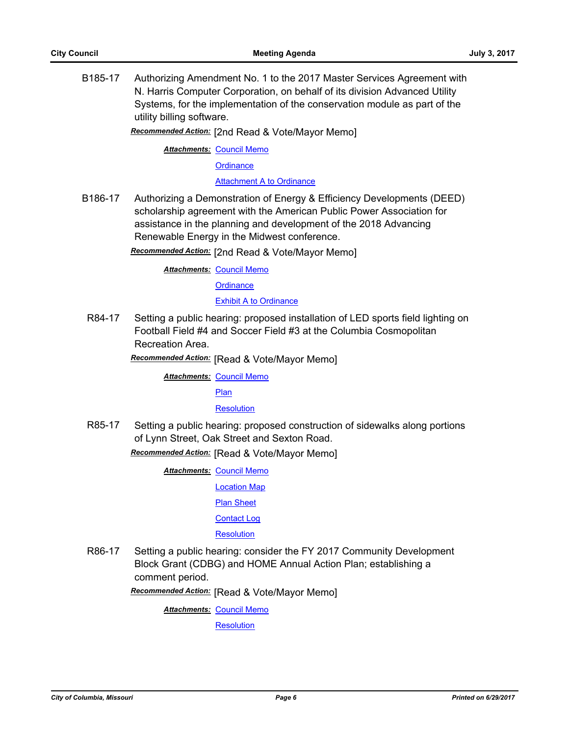B185-17 Authorizing Amendment No. 1 to the 2017 Master Services Agreement with N. Harris Computer Corporation, on behalf of its division Advanced Utility Systems, for the implementation of the conservation module as part of the utility billing software.

*Recommended Action:* [2nd Read & Vote/Mayor Memo]

**Attachments: [Council Memo](http://gocolumbiamo.legistar.com/gateway.aspx?M=F&ID=d1a49356-ffae-4000-a8a4-2d086ca1399e.docx)** 

**[Ordinance](http://gocolumbiamo.legistar.com/gateway.aspx?M=F&ID=010fceca-07b9-4807-9303-0f0d8515478a.doc)** 

[Attachment A to Ordinance](http://gocolumbiamo.legistar.com/gateway.aspx?M=F&ID=8669077f-30aa-4593-a35e-86eeabb3e415.pdf)

B186-17 Authorizing a Demonstration of Energy & Efficiency Developments (DEED) scholarship agreement with the American Public Power Association for assistance in the planning and development of the 2018 Advancing Renewable Energy in the Midwest conference.

*Recommended Action:* [2nd Read & Vote/Mayor Memo]

**Attachments: [Council Memo](http://gocolumbiamo.legistar.com/gateway.aspx?M=F&ID=109dae6e-1644-4f40-b310-ff78f353e275.docx)** 

**[Ordinance](http://gocolumbiamo.legistar.com/gateway.aspx?M=F&ID=d77c124f-2f4a-4490-869d-33ccd878decb.doc)** 

[Exhibit A to Ordinance](http://gocolumbiamo.legistar.com/gateway.aspx?M=F&ID=de68d63f-2ab2-4163-a305-15913739c407.pdf)

R84-17 Setting a public hearing: proposed installation of LED sports field lighting on Football Field #4 and Soccer Field #3 at the Columbia Cosmopolitan Recreation Area.

*Recommended Action:* [Read & Vote/Mayor Memo]

**Attachments: [Council Memo](http://gocolumbiamo.legistar.com/gateway.aspx?M=F&ID=72d4a47f-91eb-4f52-9d93-9e0f77a643a1.docx)** 

[Plan](http://gocolumbiamo.legistar.com/gateway.aspx?M=F&ID=4cd3d0a3-55ae-4a13-91d7-246317fcee8c.pdf)

#### **[Resolution](http://gocolumbiamo.legistar.com/gateway.aspx?M=F&ID=5e4fc851-fa37-4d81-8831-d253be1b1610.doc)**

R85-17 Setting a public hearing: proposed construction of sidewalks along portions of Lynn Street, Oak Street and Sexton Road.

*Recommended Action:* [Read & Vote/Mayor Memo]

**Attachments: [Council Memo](http://gocolumbiamo.legistar.com/gateway.aspx?M=F&ID=5cab163f-f7cd-4802-b0ae-46a2782052d0.docx)** 

[Location Map](http://gocolumbiamo.legistar.com/gateway.aspx?M=F&ID=720775af-c538-4dcf-b037-e5c3b23258be.pdf)

[Plan Sheet](http://gocolumbiamo.legistar.com/gateway.aspx?M=F&ID=acc2f99b-e3ba-4a7e-83bd-d3330af11b8b.pdf)

[Contact Log](http://gocolumbiamo.legistar.com/gateway.aspx?M=F&ID=c1264f0f-78c4-42bf-9bb1-1eaec7b37770.pdf)

**[Resolution](http://gocolumbiamo.legistar.com/gateway.aspx?M=F&ID=f8d90c85-008d-4b22-8891-231e1903f0e3.doc)** 

R86-17 Setting a public hearing: consider the FY 2017 Community Development Block Grant (CDBG) and HOME Annual Action Plan; establishing a comment period.

*Recommended Action:* [Read & Vote/Mayor Memo]

**Attachments: [Council Memo](http://gocolumbiamo.legistar.com/gateway.aspx?M=F&ID=66002fa2-187a-4cf2-a9b7-1b839b4cec15.docx)** 

**[Resolution](http://gocolumbiamo.legistar.com/gateway.aspx?M=F&ID=eeb94e1f-b009-46be-97e2-5272e7d346dc.doc)**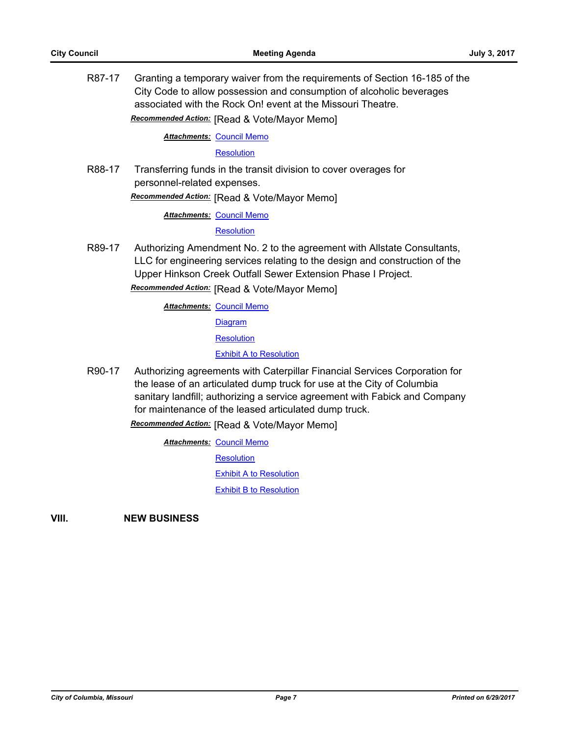R87-17 Granting a temporary waiver from the requirements of Section 16-185 of the City Code to allow possession and consumption of alcoholic beverages associated with the Rock On! event at the Missouri Theatre.

*Recommended Action:* [Read & Vote/Mayor Memo]

**Attachments: [Council Memo](http://gocolumbiamo.legistar.com/gateway.aspx?M=F&ID=dedc3950-440e-49e5-876d-23c44a9ce523.docx)** 

**[Resolution](http://gocolumbiamo.legistar.com/gateway.aspx?M=F&ID=014108c4-2f72-4572-96ba-b253e909c629.doc)** 

R88-17 Transferring funds in the transit division to cover overages for personnel-related expenses.

*Recommended Action:* [Read & Vote/Mayor Memo]

**Attachments: [Council Memo](http://gocolumbiamo.legistar.com/gateway.aspx?M=F&ID=96c3a58d-6d6c-4aff-b2e8-a4e1cff9c3ef.docx)** 

**[Resolution](http://gocolumbiamo.legistar.com/gateway.aspx?M=F&ID=6d709451-ee37-4591-af8a-e9313dc04424.doc)** 

R89-17 Authorizing Amendment No. 2 to the agreement with Allstate Consultants, LLC for engineering services relating to the design and construction of the Upper Hinkson Creek Outfall Sewer Extension Phase I Project.

*Recommended Action:* [Read & Vote/Mayor Memo]

**Attachments: [Council Memo](http://gocolumbiamo.legistar.com/gateway.aspx?M=F&ID=2bef41a4-b3ae-472f-b4fd-d2e6d02fa82c.docx)** 

[Diagram](http://gocolumbiamo.legistar.com/gateway.aspx?M=F&ID=1f84a5aa-46d4-4074-9340-1f26bd1dd1c1.pdf)

**[Resolution](http://gocolumbiamo.legistar.com/gateway.aspx?M=F&ID=97178ce6-dfaa-4541-b7a9-85b3fff1cbdd.doc)** 

[Exhibit A to Resolution](http://gocolumbiamo.legistar.com/gateway.aspx?M=F&ID=3dd6f261-9e5d-476d-a7a3-5909c61962f2.pdf)

R90-17 Authorizing agreements with Caterpillar Financial Services Corporation for the lease of an articulated dump truck for use at the City of Columbia sanitary landfill; authorizing a service agreement with Fabick and Company for maintenance of the leased articulated dump truck.

*Recommended Action:* [Read & Vote/Mayor Memo]

**Attachments: [Council Memo](http://gocolumbiamo.legistar.com/gateway.aspx?M=F&ID=e6f70a86-254e-405b-a8a9-7d583a8b25a8.docx) [Resolution](http://gocolumbiamo.legistar.com/gateway.aspx?M=F&ID=1fb23d37-38ab-45bf-bd2e-2bc2f5ff3c31.doc)** [Exhibit A to Resolution](http://gocolumbiamo.legistar.com/gateway.aspx?M=F&ID=1d797ec5-4d3a-4da8-8ff0-33d10e924053.pdf) [Exhibit B to Resolution](http://gocolumbiamo.legistar.com/gateway.aspx?M=F&ID=a4dd442e-beb4-4f24-a47d-a842f0a35ee0.pdf)

**VIII. NEW BUSINESS**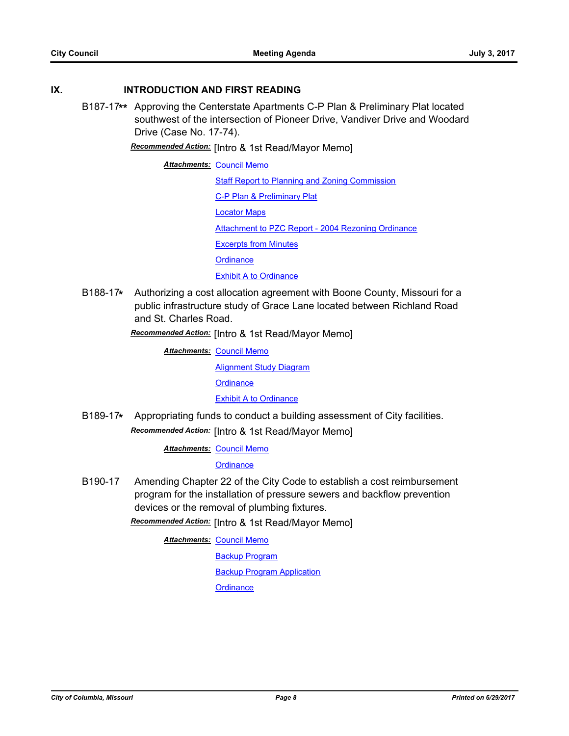## **IX. INTRODUCTION AND FIRST READING**

B187-17**\*\*** Approving the Centerstate Apartments C-P Plan & Preliminary Plat located southwest of the intersection of Pioneer Drive, Vandiver Drive and Woodard Drive (Case No. 17-74).

*Recommended Action:* [Intro & 1st Read/Mayor Memo]

**Attachments: [Council Memo](http://gocolumbiamo.legistar.com/gateway.aspx?M=F&ID=bedb9221-3d65-449e-8653-89b57e4a6ff2.docx)** [Staff Report to Planning and Zoning Commission](http://gocolumbiamo.legistar.com/gateway.aspx?M=F&ID=5b77a0f8-bfb2-4e4b-b6ca-bfa9e0f45332.docx) [C-P Plan & Preliminary Plat](http://gocolumbiamo.legistar.com/gateway.aspx?M=F&ID=a1164b11-0bb0-480d-879a-48d9cf4ad0a4.pdf) [Locator Maps](http://gocolumbiamo.legistar.com/gateway.aspx?M=F&ID=735f406c-5282-45a5-8bb0-15ab40caa061.pdf) [Attachment to PZC Report - 2004 Rezoning Ordinance](http://gocolumbiamo.legistar.com/gateway.aspx?M=F&ID=f7d89f49-0590-4620-822a-1dd869cefbbb.pdf) [Excerpts from Minutes](http://gocolumbiamo.legistar.com/gateway.aspx?M=F&ID=9514bd98-a48b-4f9a-9dac-dadaca1ef432.docx) **[Ordinance](http://gocolumbiamo.legistar.com/gateway.aspx?M=F&ID=fa1f6835-2a2f-4801-a213-7ba5c6456b85.doc) [Exhibit A to Ordinance](http://gocolumbiamo.legistar.com/gateway.aspx?M=F&ID=e59d4994-2383-4a85-8ac6-31f5b992c63b.pdf)** 

B188-17**\*** Authorizing a cost allocation agreement with Boone County, Missouri for a public infrastructure study of Grace Lane located between Richland Road and St. Charles Road.

*Recommended Action:* [Intro & 1st Read/Mayor Memo]

**Attachments: [Council Memo](http://gocolumbiamo.legistar.com/gateway.aspx?M=F&ID=650d1061-2be7-459f-a6b9-498170db4100.docx)** [Alignment Study Diagram](http://gocolumbiamo.legistar.com/gateway.aspx?M=F&ID=953db00b-6d5c-49ea-bf29-d6192d2c5e13.pdf) **[Ordinance](http://gocolumbiamo.legistar.com/gateway.aspx?M=F&ID=8216e0ad-6651-4f7e-9926-82f7a2b9cc1f.doc) [Exhibit A to Ordinance](http://gocolumbiamo.legistar.com/gateway.aspx?M=F&ID=de8a94ad-0916-44da-a47b-dc0ea33973dc.pdf)** 

B189-17**\*** Appropriating funds to conduct a building assessment of City facilities. *Recommended Action:* [Intro & 1st Read/Mayor Memo]

**Attachments: [Council Memo](http://gocolumbiamo.legistar.com/gateway.aspx?M=F&ID=a2ace27c-447c-4532-b449-c8fafd5c840b.docx)** 

**[Ordinance](http://gocolumbiamo.legistar.com/gateway.aspx?M=F&ID=58e06b8e-3e33-4f1d-88c9-9c40abcba28e.doc)** 

B190-17 Amending Chapter 22 of the City Code to establish a cost reimbursement program for the installation of pressure sewers and backflow prevention devices or the removal of plumbing fixtures.

*Recommended Action:* [Intro & 1st Read/Mayor Memo]

**Attachments: [Council Memo](http://gocolumbiamo.legistar.com/gateway.aspx?M=F&ID=067dba9c-8c5d-409d-bf58-036c660cffe1.docx)** 

[Backup Program](http://gocolumbiamo.legistar.com/gateway.aspx?M=F&ID=62b087f2-3593-46ab-a12e-9806caa6448c.docx) [Backup Program Application](http://gocolumbiamo.legistar.com/gateway.aspx?M=F&ID=f59af23b-da31-4063-9662-f39346dae0f2.docx) **[Ordinance](http://gocolumbiamo.legistar.com/gateway.aspx?M=F&ID=6156b1ef-99be-4e9d-8bf3-9e2bfbc8addb.doc)**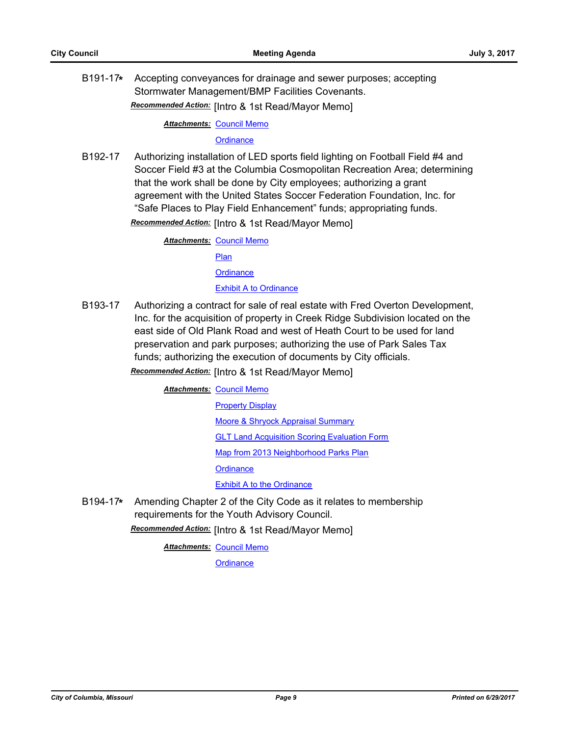B191-17**\*** Accepting conveyances for drainage and sewer purposes; accepting Stormwater Management/BMP Facilities Covenants. *Recommended Action:* [Intro & 1st Read/Mayor Memo]

**Attachments: [Council Memo](http://gocolumbiamo.legistar.com/gateway.aspx?M=F&ID=1c594a32-d972-4432-b83e-cb153f76f76f.docx)** 

#### **[Ordinance](http://gocolumbiamo.legistar.com/gateway.aspx?M=F&ID=6200e231-1181-4100-ac13-6f24069bdbd4.doc)**

B192-17 Authorizing installation of LED sports field lighting on Football Field #4 and Soccer Field #3 at the Columbia Cosmopolitan Recreation Area; determining that the work shall be done by City employees; authorizing a grant agreement with the United States Soccer Federation Foundation, Inc. for "Safe Places to Play Field Enhancement" funds; appropriating funds.

*Recommended Action:* [Intro & 1st Read/Mayor Memo]

**Attachments: [Council Memo](http://gocolumbiamo.legistar.com/gateway.aspx?M=F&ID=df5bf648-2363-4338-b659-2fda09b680d0.docx)** [Plan](http://gocolumbiamo.legistar.com/gateway.aspx?M=F&ID=63bee1db-0678-4494-b268-00e2cb38f14c.pdf) **[Ordinance](http://gocolumbiamo.legistar.com/gateway.aspx?M=F&ID=fc128492-3a76-4afc-a915-269b5a482bb0.doc)** [Exhibit A to Ordinance](http://gocolumbiamo.legistar.com/gateway.aspx?M=F&ID=b83d01a2-6248-473a-b3a7-a96ab79a9df6.doc)

B193-17 Authorizing a contract for sale of real estate with Fred Overton Development, Inc. for the acquisition of property in Creek Ridge Subdivision located on the east side of Old Plank Road and west of Heath Court to be used for land preservation and park purposes; authorizing the use of Park Sales Tax funds; authorizing the execution of documents by City officials.

*Recommended Action:* [Intro & 1st Read/Mayor Memo]

**Attachments: [Council Memo](http://gocolumbiamo.legistar.com/gateway.aspx?M=F&ID=64e8fbf5-5fb5-4c2f-a5a1-725d6c91debd.docx)** 

[Property Display](http://gocolumbiamo.legistar.com/gateway.aspx?M=F&ID=4f97eb2d-4c35-48ba-b2a1-566a749d3961.pdf) [Moore & Shryock Appraisal Summary](http://gocolumbiamo.legistar.com/gateway.aspx?M=F&ID=4bab0b0c-7195-4404-9cb0-ef28d2a0b006.pdf) [GLT Land Acquisition Scoring Evaluation Form](http://gocolumbiamo.legistar.com/gateway.aspx?M=F&ID=88bd6692-963c-49a4-906d-398cdbe9f3fc.pdf) [Map from 2013 Neighborhood Parks Plan](http://gocolumbiamo.legistar.com/gateway.aspx?M=F&ID=e22ef47c-1417-4ef8-b348-28fc7634f617.jpg) **[Ordinance](http://gocolumbiamo.legistar.com/gateway.aspx?M=F&ID=d253dec3-1b1a-4932-8a13-404df7c2dd13.doc)** [Exhibit A to the Ordinance](http://gocolumbiamo.legistar.com/gateway.aspx?M=F&ID=31299382-5e2d-4383-9bb1-ba219360493b.pdf)

B194-17**\*** Amending Chapter 2 of the City Code as it relates to membership requirements for the Youth Advisory Council.

*Recommended Action:* [Intro & 1st Read/Mayor Memo]

**Attachments: [Council Memo](http://gocolumbiamo.legistar.com/gateway.aspx?M=F&ID=d64eb160-9c44-4e92-88ee-52bb2c880272.docx)** 

**[Ordinance](http://gocolumbiamo.legistar.com/gateway.aspx?M=F&ID=3b334f1e-6b22-4ac9-ba7e-31dcbe781c66.doc)**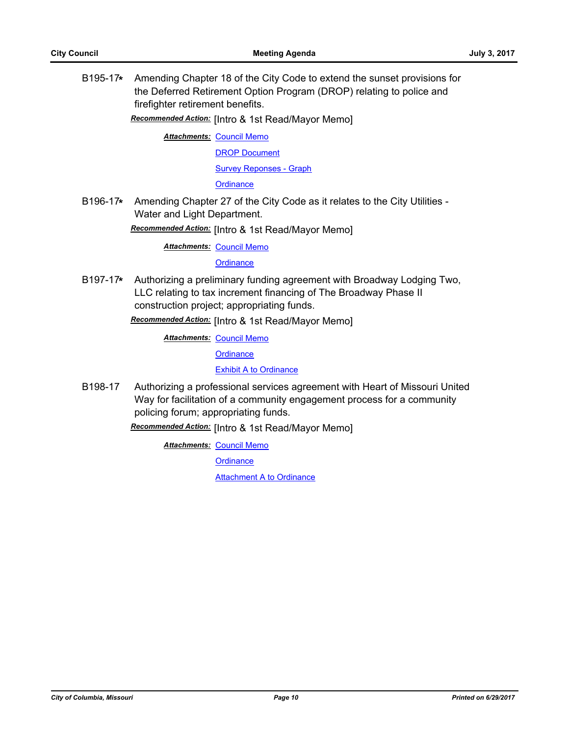B195-17**\*** Amending Chapter 18 of the City Code to extend the sunset provisions for the Deferred Retirement Option Program (DROP) relating to police and firefighter retirement benefits.

*Recommended Action:* [Intro & 1st Read/Mayor Memo]

**Attachments: [Council Memo](http://gocolumbiamo.legistar.com/gateway.aspx?M=F&ID=e69a4c23-bb36-4bcd-bfd1-53b7633011b8.docx)** [DROP Document](http://gocolumbiamo.legistar.com/gateway.aspx?M=F&ID=fb9feadb-4f3e-41c9-91a4-627449a0d647.pdf) [Survey Reponses - Graph](http://gocolumbiamo.legistar.com/gateway.aspx?M=F&ID=f47c56ec-4e1c-42b7-bffa-c7a33cd7c72a.pdf)

**[Ordinance](http://gocolumbiamo.legistar.com/gateway.aspx?M=F&ID=8586500b-562f-4ac8-a873-b8cca8d9feb3.doc)** 

B196-17**\*** Amending Chapter 27 of the City Code as it relates to the City Utilities - Water and Light Department.

*Recommended Action:* [Intro & 1st Read/Mayor Memo]

**Attachments: [Council Memo](http://gocolumbiamo.legistar.com/gateway.aspx?M=F&ID=8648717b-43e3-4c20-b409-07631d6d0842.docx)** 

**[Ordinance](http://gocolumbiamo.legistar.com/gateway.aspx?M=F&ID=663f0a70-41d7-45c1-a8d6-bf9d946f0fa8.doc)** 

B197-17**\*** Authorizing a preliminary funding agreement with Broadway Lodging Two, LLC relating to tax increment financing of The Broadway Phase II construction project; appropriating funds.

*Recommended Action:* [Intro & 1st Read/Mayor Memo]

**Attachments: [Council Memo](http://gocolumbiamo.legistar.com/gateway.aspx?M=F&ID=6f929646-b679-47fd-8a6d-8a76987bf08a.docx)** 

**[Ordinance](http://gocolumbiamo.legistar.com/gateway.aspx?M=F&ID=ffd3736e-b711-4c1d-ac24-d3a09787d605.doc)** 

[Exhibit A to Ordinance](http://gocolumbiamo.legistar.com/gateway.aspx?M=F&ID=87aee489-44b7-4958-834f-4b287ca344be.docx)

B198-17 Authorizing a professional services agreement with Heart of Missouri United Way for facilitation of a community engagement process for a community policing forum; appropriating funds.

*Recommended Action:* [Intro & 1st Read/Mayor Memo]

**Attachments: [Council Memo](http://gocolumbiamo.legistar.com/gateway.aspx?M=F&ID=1bcb56b8-c28e-4dc7-8aa0-acb3afbbdb4d.docx)** 

**[Ordinance](http://gocolumbiamo.legistar.com/gateway.aspx?M=F&ID=5f578436-b1c8-4bbb-856b-80894202aadf.doc)** 

[Attachment A to Ordinance](http://gocolumbiamo.legistar.com/gateway.aspx?M=F&ID=763c1bd8-6cdd-4d99-a35e-0e627eaad1b4.pdf)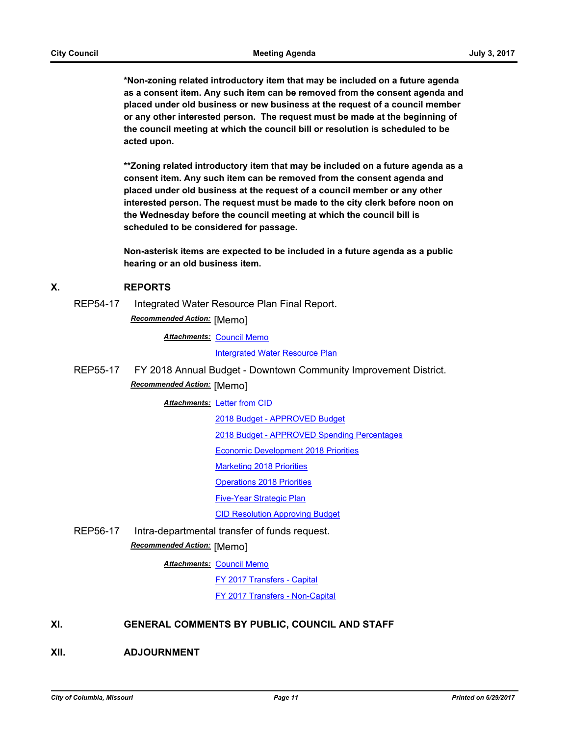**\*Non-zoning related introductory item that may be included on a future agenda as a consent item. Any such item can be removed from the consent agenda and placed under old business or new business at the request of a council member or any other interested person. The request must be made at the beginning of the council meeting at which the council bill or resolution is scheduled to be acted upon.** 

**\*\*Zoning related introductory item that may be included on a future agenda as a consent item. Any such item can be removed from the consent agenda and placed under old business at the request of a council member or any other interested person. The request must be made to the city clerk before noon on the Wednesday before the council meeting at which the council bill is scheduled to be considered for passage.**

**Non-asterisk items are expected to be included in a future agenda as a public hearing or an old business item.**

### **X. REPORTS**

REP54-17 Integrated Water Resource Plan Final Report.

*Recommended Action:* [Memo]

**Attachments: [Council Memo](http://gocolumbiamo.legistar.com/gateway.aspx?M=F&ID=7780c0b0-74e3-4d4c-a48f-5c273cb2cb4e.docx)** 

[Intergrated Water Resource Plan](http://gocolumbiamo.legistar.com/gateway.aspx?M=F&ID=be06260b-a1e6-41a6-bd58-eeca646cc051.pdf)

REP55-17 FY 2018 Annual Budget - Downtown Community Improvement District. *Recommended Action:* [Memo]

**Attachments: [Letter from CID](http://gocolumbiamo.legistar.com/gateway.aspx?M=F&ID=b7f55136-b620-44a6-9d23-52dc35f5e098.pdf)** 

[2018 Budget - APPROVED Budget](http://gocolumbiamo.legistar.com/gateway.aspx?M=F&ID=8a79078e-53e0-4567-8c78-822b4b452a5d.pdf)

[2018 Budget - APPROVED Spending Percentages](http://gocolumbiamo.legistar.com/gateway.aspx?M=F&ID=ffdaeeaf-d92c-4e1a-9cff-6cf3f3851698.pdf)

[Economic Development 2018 Priorities](http://gocolumbiamo.legistar.com/gateway.aspx?M=F&ID=1dc48e95-9380-4da3-8d81-4b24d7255e57.pdf)

[Marketing 2018 Priorities](http://gocolumbiamo.legistar.com/gateway.aspx?M=F&ID=e9c643dd-b93d-411e-8348-eff28651db74.pdf)

[Operations 2018 Priorities](http://gocolumbiamo.legistar.com/gateway.aspx?M=F&ID=45234dac-46bd-46bb-bf7b-1b727fde9029.pdf)

[Five-Year Strategic Plan](http://gocolumbiamo.legistar.com/gateway.aspx?M=F&ID=0cdbf1ab-cc10-44df-a3ae-12d53874a8d4.pdf)

[CID Resolution Approving Budget](http://gocolumbiamo.legistar.com/gateway.aspx?M=F&ID=f6cdc16b-6518-45f1-bf49-0771475506a2.pdf)

REP56-17 Intra-departmental transfer of funds request.

*Recommended Action:* [Memo]

**Attachments: [Council Memo](http://gocolumbiamo.legistar.com/gateway.aspx?M=F&ID=323647bf-ace6-4550-8aca-b31b07979ac8.docx)** 

[FY 2017 Transfers - Capital](http://gocolumbiamo.legistar.com/gateway.aspx?M=F&ID=2c2fe820-0176-4d56-8d9e-362cb9558f47.pdf)

[FY 2017 Transfers - Non-Capital](http://gocolumbiamo.legistar.com/gateway.aspx?M=F&ID=c4e7bdaa-10ce-47c2-95c5-ecd3a46b6f99.pdf)

## **XI. GENERAL COMMENTS BY PUBLIC, COUNCIL AND STAFF**

**XII. ADJOURNMENT**